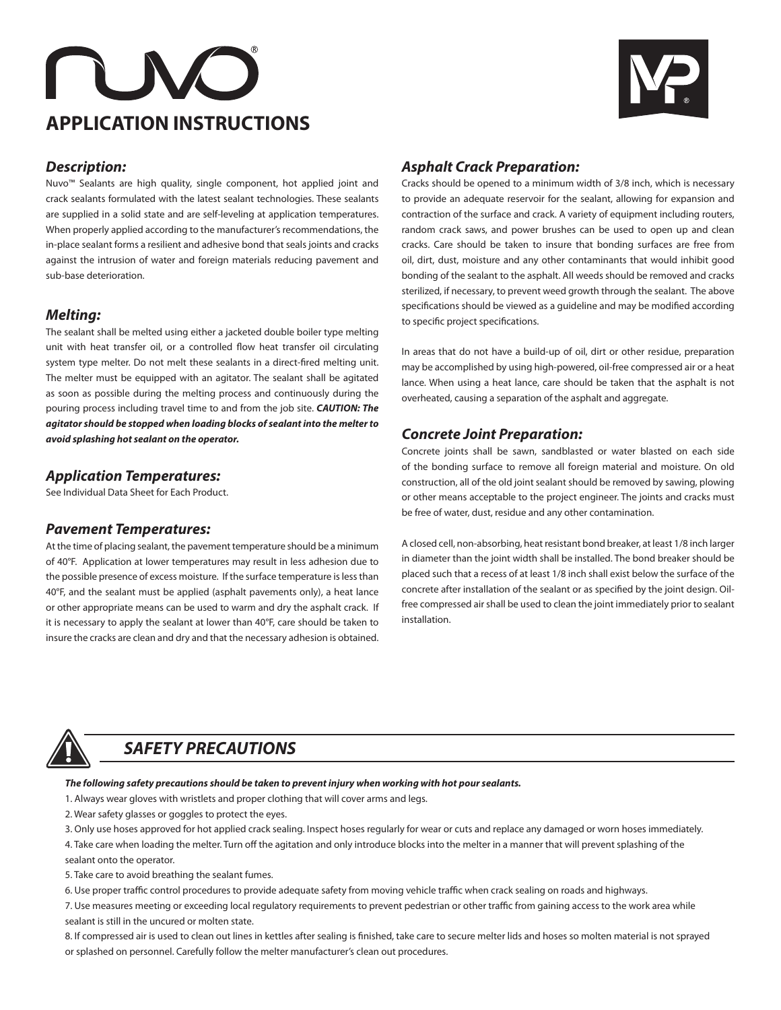# **APPLICATION INSTRUCTIONS**



# *Description:*

Nuvo™ Sealants are high quality, single component, hot applied joint and crack sealants formulated with the latest sealant technologies. These sealants are supplied in a solid state and are self-leveling at application temperatures. When properly applied according to the manufacturer's recommendations, the in-place sealant forms a resilient and adhesive bond that seals joints and cracks against the intrusion of water and foreign materials reducing pavement and sub-base deterioration.

# *Melting:*

The sealant shall be melted using either a jacketed double boiler type melting unit with heat transfer oil, or a controlled flow heat transfer oil circulating system type melter. Do not melt these sealants in a direct-fired melting unit. The melter must be equipped with an agitator. The sealant shall be agitated as soon as possible during the melting process and continuously during the pouring process including travel time to and from the job site. *CAUTION: The agitator should be stopped when loading blocks of sealant into the melter to avoid splashing hot sealant on the operator.* 

# *Application Temperatures:*

See Individual Data Sheet for Each Product.

# *Pavement Temperatures:*

At the time of placing sealant, the pavement temperature should be a minimum of 40°F. Application at lower temperatures may result in less adhesion due to the possible presence of excess moisture. If the surface temperature is less than 40°F, and the sealant must be applied (asphalt pavements only), a heat lance or other appropriate means can be used to warm and dry the asphalt crack. If it is necessary to apply the sealant at lower than 40°F, care should be taken to insure the cracks are clean and dry and that the necessary adhesion is obtained.

# *Asphalt Crack Preparation:*

Cracks should be opened to a minimum width of 3/8 inch, which is necessary to provide an adequate reservoir for the sealant, allowing for expansion and contraction of the surface and crack. A variety of equipment including routers, random crack saws, and power brushes can be used to open up and clean cracks. Care should be taken to insure that bonding surfaces are free from oil, dirt, dust, moisture and any other contaminants that would inhibit good bonding of the sealant to the asphalt. All weeds should be removed and cracks sterilized, if necessary, to prevent weed growth through the sealant. The above specifications should be viewed as a guideline and may be modified according to specific project specifications.

In areas that do not have a build-up of oil, dirt or other residue, preparation may be accomplished by using high-powered, oil-free compressed air or a heat lance. When using a heat lance, care should be taken that the asphalt is not overheated, causing a separation of the asphalt and aggregate.

# *Concrete Joint Preparation:*

Concrete joints shall be sawn, sandblasted or water blasted on each side of the bonding surface to remove all foreign material and moisture. On old construction, all of the old joint sealant should be removed by sawing, plowing or other means acceptable to the project engineer. The joints and cracks must be free of water, dust, residue and any other contamination.

A closed cell, non-absorbing, heat resistant bond breaker, at least 1/8 inch larger in diameter than the joint width shall be installed. The bond breaker should be placed such that a recess of at least 1/8 inch shall exist below the surface of the concrete after installation of the sealant or as specified by the joint design. Oilfree compressed air shall be used to clean the joint immediately prior to sealant installation.



# *SAFETY PRECAUTIONS*

*The following safety precautions should be taken to prevent injury when working with hot pour sealants.*

- 1. Always wear gloves with wristlets and proper clothing that will cover arms and legs.
- 2. Wear safety glasses or goggles to protect the eyes.

3. Only use hoses approved for hot applied crack sealing. Inspect hoses regularly for wear or cuts and replace any damaged or worn hoses immediately.

4. Take care when loading the melter. Turn off the agitation and only introduce blocks into the melter in a manner that will prevent splashing of the sealant onto the operator.

5. Take care to avoid breathing the sealant fumes.

6. Use proper traffic control procedures to provide adequate safety from moving vehicle traffic when crack sealing on roads and highways.

7. Use measures meeting or exceeding local regulatory requirements to prevent pedestrian or other traffic from gaining access to the work area while sealant is still in the uncured or molten state.

8. If compressed air is used to clean out lines in kettles after sealing is finished, take care to secure melter lids and hoses so molten material is not sprayed or splashed on personnel. Carefully follow the melter manufacturer's clean out procedures.